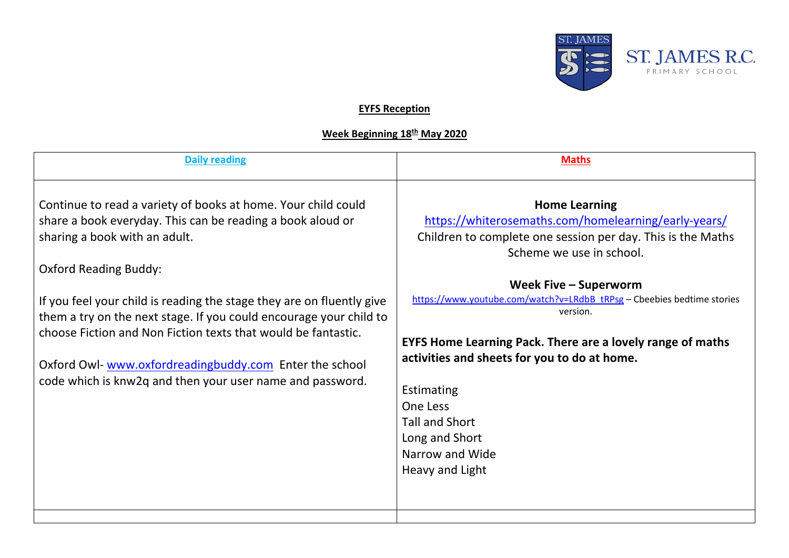

## **EYFS Reception**

## **Week Beginning 18th May 2020**

| <b>Daily reading</b>                                                                                                                                                                                                                                                                                                                                                                                                                                                                                                                | <b>Maths</b>                                                                                                                                                                                                                                                                                                                                                                                                                                                                                                           |
|-------------------------------------------------------------------------------------------------------------------------------------------------------------------------------------------------------------------------------------------------------------------------------------------------------------------------------------------------------------------------------------------------------------------------------------------------------------------------------------------------------------------------------------|------------------------------------------------------------------------------------------------------------------------------------------------------------------------------------------------------------------------------------------------------------------------------------------------------------------------------------------------------------------------------------------------------------------------------------------------------------------------------------------------------------------------|
| Continue to read a variety of books at home. Your child could<br>share a book everyday. This can be reading a book aloud or<br>sharing a book with an adult.<br><b>Oxford Reading Buddy:</b><br>If you feel your child is reading the stage they are on fluently give<br>them a try on the next stage. If you could encourage your child to<br>choose Fiction and Non Fiction texts that would be fantastic.<br>Oxford Owl-www.oxfordreadingbuddy.com Enter the school<br>code which is knw2q and then your user name and password. | <b>Home Learning</b><br>https://whiterosemaths.com/homelearning/early-years/<br>Children to complete one session per day. This is the Maths<br>Scheme we use in school.<br>Week Five - Superworm<br>https://www.youtube.com/watch?v=LRdbB_tRPsg - Cbeebies bedtime stories<br>version.<br><b>EYFS Home Learning Pack. There are a lovely range of maths</b><br>activities and sheets for you to do at home.<br>Estimating<br>One Less<br><b>Tall and Short</b><br>Long and Short<br>Narrow and Wide<br>Heavy and Light |
|                                                                                                                                                                                                                                                                                                                                                                                                                                                                                                                                     |                                                                                                                                                                                                                                                                                                                                                                                                                                                                                                                        |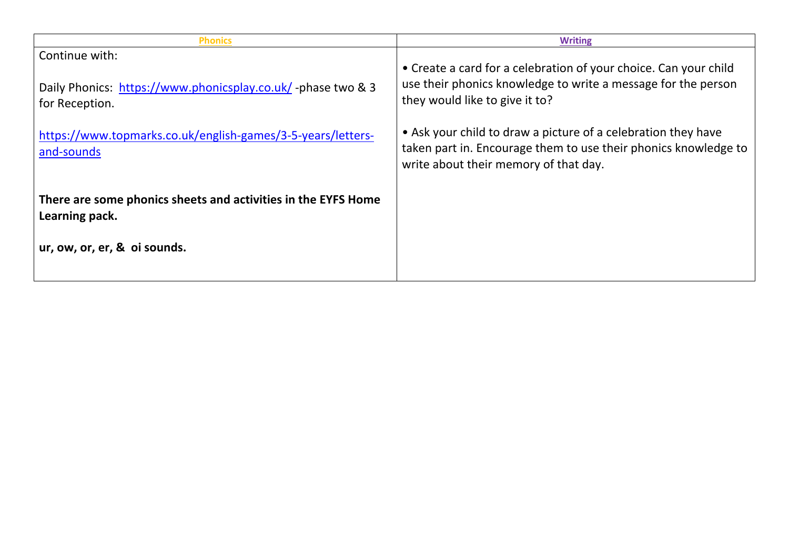| <b>Phonics</b>                                                                  | <b>Writing</b>                                                                                                                                                            |
|---------------------------------------------------------------------------------|---------------------------------------------------------------------------------------------------------------------------------------------------------------------------|
| Continue with:                                                                  | • Create a card for a celebration of your choice. Can your child                                                                                                          |
| Daily Phonics: https://www.phonicsplay.co.uk/-phase two & 3<br>for Reception.   | use their phonics knowledge to write a message for the person<br>they would like to give it to?                                                                           |
| https://www.topmarks.co.uk/english-games/3-5-years/letters-<br>and-sounds       | • Ask your child to draw a picture of a celebration they have<br>taken part in. Encourage them to use their phonics knowledge to<br>write about their memory of that day. |
| There are some phonics sheets and activities in the EYFS Home<br>Learning pack. |                                                                                                                                                                           |
| ur, ow, or, er, & oi sounds.                                                    |                                                                                                                                                                           |